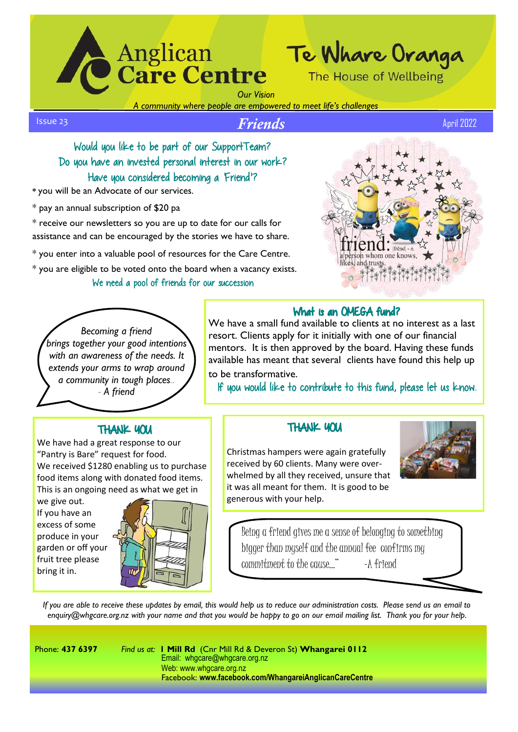

*Our Vision*

*A community where people are empowered to meet life's challenges*

*Friends* April 2022 Issue 23

Would you like to be part of our SupportTeam? Do you have an invested personal interest in our work? Have you considered becoming a Friend'?

**\*** you will be an Advocate of our services.

\* pay an annual subscription of \$20 pa

\* receive our newsletters so you are up to date for our calls for assistance and can be encouraged by the stories we have to share.

\* you enter into a valuable pool of resources for the Care Centre.

\* you are eligible to be voted onto the board when a vacancy exists.

### We need a pool of friends for our succession



#### What is an OMEGA fund? We have a small fund available to clients at no interest as a last

If you would like to contribute to this fund, please let us know.

resort. Clients apply for it initially with one of our financial mentors. It is then approved by the board. Having these funds available has meant that several clients have found this help up

*Becoming a friend brings together your good intentions with an awareness of the needs. It extends your arms to wrap around a community in tough places.. - A friend*

## THANK YOU

We have had a great response to our "Pantry is Bare" request for food. We received \$1280 enabling us to purchase food items along with donated food items. This is an ongoing need as what we get in

we give out. If you have an excess of some produce in your garden or off your fruit tree please bring it in.



## **THANK YOU**

Christmas hampers were again gratefully received by 60 clients. Many were overwhelmed by all they received, unsure that it was all meant for them. It is good to be generous with your help.



Being a friend gives me a sense of belonging to something bigger than myself and the annual fee confirms my commitment to the cause..." -A friend

*If you are able to receive these updates by email, this would help us to reduce our administration costs. Please send us an email to enquiry@whgcare.org.nz with your name and that you would be happy to go on our email mailing list. Thank you for your help.*

to be transformative.

Phone: **437 6397** *Find us at:* **1 Mill Rd** (Cnr Mill Rd & Deveron St) **Whangarei 0112**  Email: whgcare@whgcare.org.nz Web: www.whgcare.org.nz Facebook: **www.facebook.com/WhangareiAnglicanCareCentre**